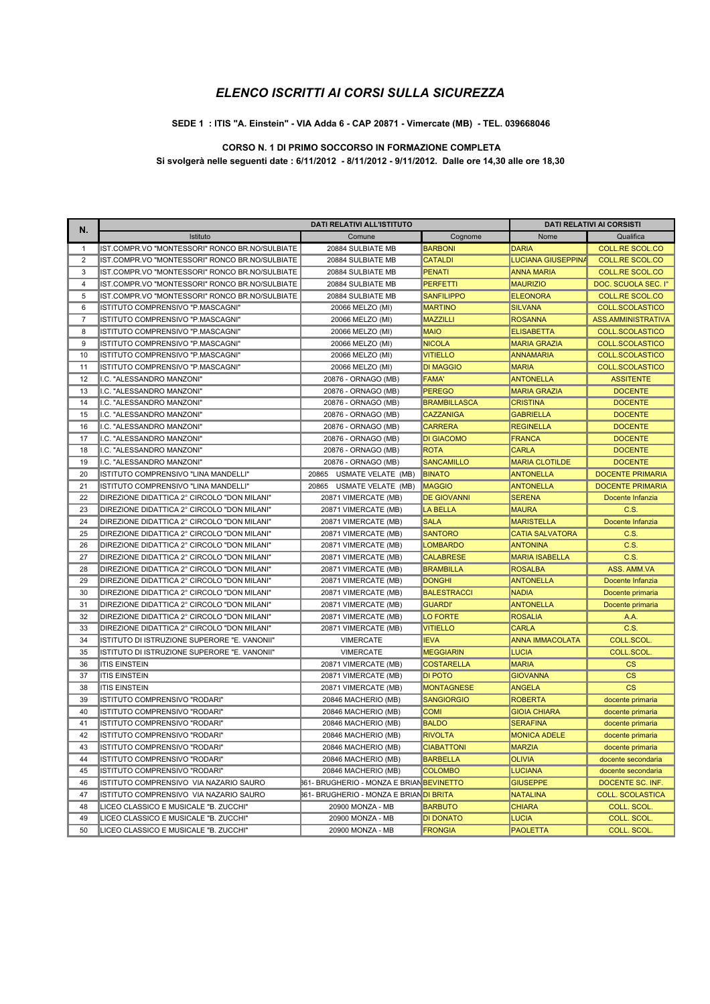#### SEDE 1 : ITIS "A. Einstein" - VIA Adda 6 - CAP 20871 - Vimercate (MB) - TEL. 039668046

### CORSO N. 1 DI PRIMO SOCCORSO IN FORMAZIONE COMPLETA

Si svolgerà nelle seguenti date : 6/11/2012 - 8/11/2012 - 9/11/2012. Dalle ore 14,30 alle ore 18,30

| Ν.             | DATI RELATIVI ALL'ISTITUTO                     |                                                 |                     | <b>DATI RELATIVI AI CORSISTI</b> |                         |
|----------------|------------------------------------------------|-------------------------------------------------|---------------------|----------------------------------|-------------------------|
|                | Istituto                                       | Comune                                          | Cognome             | Nome                             | Qualifica               |
| $\mathbf{1}$   | IST.COMPR.VO "MONTESSORI" RONCO BR.NO/SULBIATE | 20884 SULBIATE MB                               | <b>BARBONI</b>      | <b>DARIA</b>                     | COLL.RE SCOL.CO         |
| $\overline{2}$ | IST.COMPR.VO "MONTESSORI" RONCO BR.NO/SULBIATE | 20884 SULBIATE MB                               | <b>CATALDI</b>      | <b>LUCIANA GIUSEPPINA</b>        | <b>COLL.RE SCOL.CO</b>  |
| 3              | IST.COMPR.VO "MONTESSORI" RONCO BR.NO/SULBIATE | 20884 SULBIATE MB                               | <b>PENATI</b>       | <b>ANNA MARIA</b>                | <b>COLL.RE SCOL.CO</b>  |
| $\overline{4}$ | IST.COMPR.VO "MONTESSORI" RONCO BR.NO/SULBIATE | 20884 SULBIATE MB                               | <b>PERFETTI</b>     | <b>MAURIZIO</b>                  | DOC. SCUOLA SEC. I°     |
| 5              | IST.COMPR.VO "MONTESSORI" RONCO BR.NO/SULBIATE | 20884 SULBIATE MB                               | <b>SANFILIPPO</b>   | <b>ELEONORA</b>                  | <b>COLL.RE SCOL.CO</b>  |
| 6              | ISTITUTO COMPRENSIVO "P.MASCAGNI"              | 20066 MELZO (MI)                                | <b>MARTINO</b>      | <b>SILVANA</b>                   | <b>COLL.SCOLASTICO</b>  |
| $\overline{7}$ | ISTITUTO COMPRENSIVO "P.MASCAGNI"              | 20066 MELZO (MI)                                | <b>MAZZILLI</b>     | <b>ROSANNA</b>                   | ASS.AMMINISTRATIVA      |
| 8              | ISTITUTO COMPRENSIVO "P.MASCAGNI"              | 20066 MELZO (MI)                                | <b>MAIO</b>         | <b>ELISABETTA</b>                | COLL.SCOLASTICO         |
| 9              | ISTITUTO COMPRENSIVO "P.MASCAGNI"              | 20066 MELZO (MI)                                | <b>NICOLA</b>       | <b>MARIA GRAZIA</b>              | <b>COLL.SCOLASTICO</b>  |
| 10             | ISTITUTO COMPRENSIVO "P.MASCAGNI"              | 20066 MELZO (MI)                                | <b>VITIELLO</b>     | <b>ANNAMARIA</b>                 | <b>COLL.SCOLASTICO</b>  |
| 11             | ISTITUTO COMPRENSIVO "P.MASCAGNI"              | 20066 MELZO (MI)                                | <b>DI MAGGIO</b>    | <b>MARIA</b>                     | COLL.SCOLASTICO         |
| 12             | I.C. "ALESSANDRO MANZONI"                      | 20876 - ORNAGO (MB)                             | <b>FAMA'</b>        | <b>ANTONELLA</b>                 | <b>ASSITENTE</b>        |
| 13             | I.C. "ALESSANDRO MANZONI"                      | 20876 - ORNAGO (MB)                             | <b>PEREGO</b>       | <b>MARIA GRAZIA</b>              | <b>DOCENTE</b>          |
| 14             | I.C. "ALESSANDRO MANZONI"                      | 20876 - ORNAGO (MB)                             | <b>BRAMBILLASCA</b> | <b>CRISTINA</b>                  | <b>DOCENTE</b>          |
| 15             | I.C. "ALESSANDRO MANZONI"                      | 20876 - ORNAGO (MB)                             | <b>CAZZANIGA</b>    | <b>GABRIELLA</b>                 | <b>DOCENTE</b>          |
| 16             | I.C. "ALESSANDRO MANZONI"                      | 20876 - ORNAGO (MB)                             | <b>CARRERA</b>      | <b>REGINELLA</b>                 | <b>DOCENTE</b>          |
| 17             | I.C. "ALESSANDRO MANZONI"                      | 20876 - ORNAGO (MB)                             | <b>DI GIACOMO</b>   | <b>FRANCA</b>                    | <b>DOCENTE</b>          |
| 18             | II.C. "ALESSANDRO MANZONI"                     | 20876 - ORNAGO (MB)                             | <b>ROTA</b>         | <b>CARLA</b>                     | <b>DOCENTE</b>          |
| 19             | I.C. "ALESSANDRO MANZONI"                      | 20876 - ORNAGO (MB)                             | <b>SANCAMILLO</b>   | <b>MARIA CLOTILDE</b>            | <b>DOCENTE</b>          |
| 20             | ISTITUTO COMPRENSIVO "LINA MANDELLI"           | 20865 USMATE VELATE (MB)                        | <b>BINATO</b>       | <b>ANTONELLA</b>                 | <b>DOCENTE PRIMARIA</b> |
| 21             | ISTITUTO COMPRENSIVO "LINA MANDELLI"           | 20865 USMATE VELATE (MB)                        | <b>MAGGIO</b>       | <b>ANTONELLA</b>                 | <b>DOCENTE PRIMARIA</b> |
| 22             | DIREZIONE DIDATTICA 2° CIRCOLO "DON MILANI"    | 20871 VIMERCATE (MB)                            | <b>DE GIOVANNI</b>  | <b>SERENA</b>                    | Docente Infanzia        |
| 23             | DIREZIONE DIDATTICA 2° CIRCOLO "DON MILANI"    | 20871 VIMERCATE (MB)                            | <b>LA BELLA</b>     | <b>MAURA</b>                     | C.S.                    |
| 24             | DIREZIONE DIDATTICA 2° CIRCOLO "DON MILANI"    | 20871 VIMERCATE (MB)                            | <b>SALA</b>         | <b>MARISTELLA</b>                | Docente Infanzia        |
| 25             | DIREZIONE DIDATTICA 2° CIRCOLO "DON MILANI"    | 20871 VIMERCATE (MB)                            | <b>SANTORO</b>      | <b>CATIA SALVATORA</b>           | C.S.                    |
| 26             | DIREZIONE DIDATTICA 2° CIRCOLO "DON MILANI"    | 20871 VIMERCATE (MB)                            | <b>LOMBARDO</b>     | <b>ANTONINA</b>                  | C.S.                    |
| 27             | DIREZIONE DIDATTICA 2° CIRCOLO "DON MILANI"    | 20871 VIMERCATE (MB)                            | <b>CALABRESE</b>    | <b>MARIA ISABELLA</b>            | C.S.                    |
| 28             | DIREZIONE DIDATTICA 2° CIRCOLO "DON MILANI"    | 20871 VIMERCATE (MB)                            | <b>BRAMBILLA</b>    | <b>ROSALBA</b>                   | ASS. AMM.VA             |
| 29             | DIREZIONE DIDATTICA 2° CIRCOLO "DON MILANI"    | 20871 VIMERCATE (MB)                            | <b>DONGHI</b>       | <b>ANTONELLA</b>                 | Docente Infanzia        |
| 30             | DIREZIONE DIDATTICA 2° CIRCOLO "DON MILANI"    | 20871 VIMERCATE (MB)                            | <b>BALESTRACCI</b>  | <b>NADIA</b>                     | Docente primaria        |
| 31             | DIREZIONE DIDATTICA 2° CIRCOLO "DON MILANI"    | 20871 VIMERCATE (MB)                            | <b>GUARDI'</b>      | <b>ANTONELLA</b>                 | Docente primaria        |
| 32             | DIREZIONE DIDATTICA 2° CIRCOLO "DON MILANI"    | 20871 VIMERCATE (MB)                            | <b>LO FORTE</b>     | <b>ROSALIA</b>                   | A.A.                    |
| 33             | DIREZIONE DIDATTICA 2° CIRCOLO "DON MILANI"    | 20871 VIMERCATE (MB)                            | <b>VITIELLO</b>     | <b>CARLA</b>                     | C.S.                    |
| 34             | ISTITUTO DI ISTRUZIONE SUPERORE "E. VANONII"   | <b>VIMERCATE</b>                                | <b>IEVA</b>         | <b>ANNA IMMACOLATA</b>           | COLL.SCOL.              |
| 35             | ISTITUTO DI ISTRUZIONE SUPERORE "E. VANONII"   | <b>VIMERCATE</b>                                | <b>MEGGIARIN</b>    | <b>LUCIA</b>                     | COLL.SCOL.              |
| 36             | <b>ITIS EINSTEIN</b>                           | 20871 VIMERCATE (MB)                            | <b>COSTARELLA</b>   | <b>MARIA</b>                     | $\mathsf{CS}$           |
| 37             | <b>ITIS EINSTEIN</b>                           | 20871 VIMERCATE (MB)                            | <b>DI POTO</b>      | <b>GIOVANNA</b>                  | <b>CS</b>               |
| 38             | <b>ITIS EINSTEIN</b>                           | 20871 VIMERCATE (MB)                            | <b>MONTAGNESE</b>   | <b>ANGELA</b>                    | <b>CS</b>               |
| 39             | ISTITUTO COMPRENSIVO "RODARI"                  | 20846 MACHERIO (MB)                             | <b>SANGIORGIO</b>   | <b>ROBERTA</b>                   | docente primaria        |
| 40             | ISTITUTO COMPRENSIVO "RODARI"                  | 20846 MACHERIO (MB)                             | <b>COMI</b>         | <b>GIOIA CHIARA</b>              | docente primaria        |
| 41             | ISTITUTO COMPRENSIVO "RODARI"                  | 20846 MACHERIO (MB)                             | <b>BALDO</b>        | <b>SERAFINA</b>                  | docente primaria        |
| 42             | ISTITUTO COMPRENSIVO "RODARI"                  | 20846 MACHERIO (MB)                             | <b>RIVOLTA</b>      | <b>MONICA ADELE</b>              | docente primaria        |
| 43             | ISTITUTO COMPRENSIVO "RODARI"                  | 20846 MACHERIO (MB)                             | <b>CIABATTONI</b>   | <b>MARZIA</b>                    | docente primaria        |
| 44             | ISTITUTO COMPRENSIVO "RODARI"                  | 20846 MACHERIO (MB)                             | <b>BARBELLA</b>     | <b>OLIVIA</b>                    | docente secondaria      |
| 45             | ISTITUTO COMPRENSIVO "RODARI"                  | 20846 MACHERIO (MB)                             | <b>COLOMBO</b>      | <b>LUCIANA</b>                   | docente secondaria      |
| 46             | ISTITUTO COMPRENSIVO VIA NAZARIO SAURO         | <b>861- BRUGHERIO - MONZA E BRIAN BEVINETTO</b> |                     | <b>GIUSEPPE</b>                  | DOCENTE SC. INF         |
| 47             | ISTITUTO COMPRENSIVO VIA NAZARIO SAURO         | <b>861- BRUGHERIO - MONZA E BRIAN DI BRITA</b>  |                     | <b>NATALINA</b>                  | <b>COLL. SCOLASTICA</b> |
| 48             | LICEO CLASSICO E MUSICALE "B. ZUCCHI"          | 20900 MONZA - MB                                | <b>BARBUTO</b>      | <b>CHIARA</b>                    | <b>COLL. SCOL</b>       |
| 49             | LICEO CLASSICO E MUSICALE "B. ZUCCHI"          | 20900 MONZA - MB                                | <b>DI DONATO</b>    | <b>LUCIA</b>                     | COLL. SCOL.             |
| 50             | LICEO CLASSICO E MUSICALE "B. ZUCCHI"          | 20900 MONZA - MB                                | <b>FRONGIA</b>      | <b>PAOLETTA</b>                  | COLL. SCOL.             |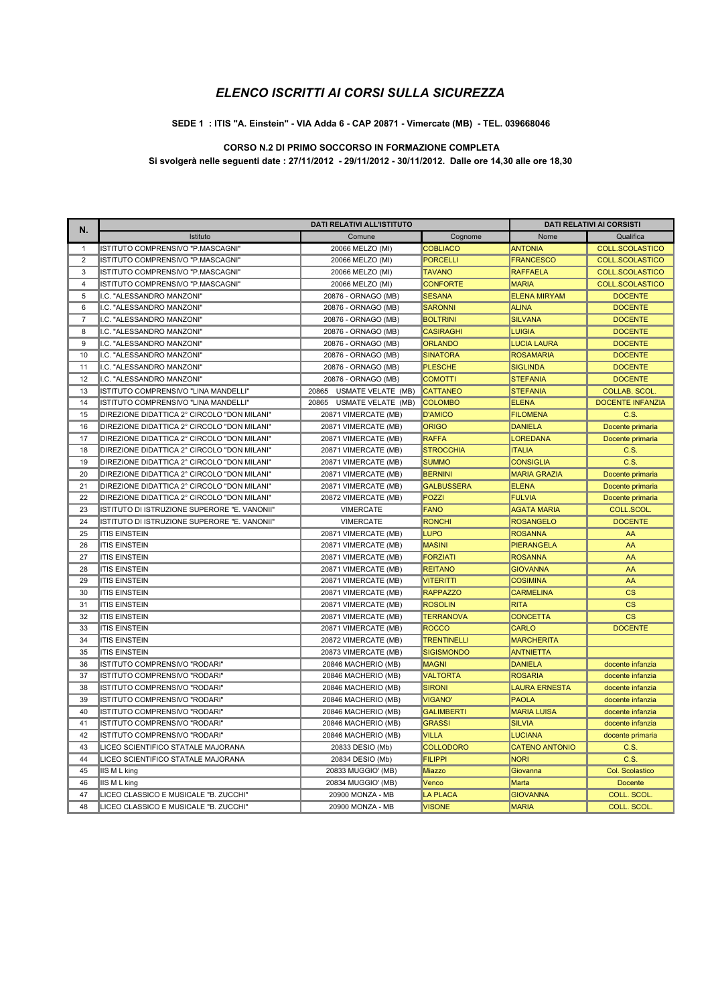#### SEDE 1 : ITIS "A. Einstein" - VIA Adda 6 - CAP 20871 - Vimercate (MB) - TEL. 039668046

### CORSO N.2 DI PRIMO SOCCORSO IN FORMAZIONE COMPLETA

Si svolgerà nelle seguenti date : 27/11/2012 - 29/11/2012 - 30/11/2012. Dalle ore 14,30 alle ore 18,30

| Ν.             | DATI RELATIVI ALL'ISTITUTO                   |                          | DATI RELATIVI AI CORSISTI |                       |                          |
|----------------|----------------------------------------------|--------------------------|---------------------------|-----------------------|--------------------------|
|                | Istituto                                     | Comune                   | Cognome                   | Nome                  | Qualifica                |
| $\mathbf{1}$   | ISTITUTO COMPRENSIVO "P.MASCAGNI"            | 20066 MELZO (MI)         | <b>COBLIACO</b>           | <b>ANTONIA</b>        | COLL.SCOLASTICO          |
| $\overline{2}$ | ISTITUTO COMPRENSIVO "P.MASCAGNI"            | 20066 MELZO (MI)         | <b>PORCELLI</b>           | <b>FRANCESCO</b>      | <b>COLL.SCOLASTICO</b>   |
| 3              | ISTITUTO COMPRENSIVO "P.MASCAGNI"            | 20066 MELZO (MI)         | <b>TAVANO</b>             | <b>RAFFAELA</b>       | <b>COLL.SCOLASTICO</b>   |
| $\overline{4}$ | ISTITUTO COMPRENSIVO "P.MASCAGNI"            | 20066 MELZO (MI)         | <b>CONFORTE</b>           | <b>MARIA</b>          | <b>COLL.SCOLASTICO</b>   |
| 5              | I.C. "ALESSANDRO MANZONI"                    | 20876 - ORNAGO (MB)      | <b>SESANA</b>             | <b>ELENA MIRYAM</b>   | <b>DOCENTE</b>           |
| 6              | I.C. "ALESSANDRO MANZONI"                    | 20876 - ORNAGO (MB)      | <b>SARONNI</b>            | <b>ALINA</b>          | <b>DOCENTE</b>           |
| $\overline{7}$ | I.C. "ALESSANDRO MANZONI"                    | 20876 - ORNAGO (MB)      | <b>BOLTRINI</b>           | <b>SILVANA</b>        | <b>DOCENTE</b>           |
| 8              | I.C. "ALESSANDRO MANZONI"                    | 20876 - ORNAGO (MB)      | <b>CASIRAGHI</b>          | <b>LUIGIA</b>         | <b>DOCENTE</b>           |
| 9              | I.C. "ALESSANDRO MANZONI"                    | 20876 - ORNAGO (MB)      | <b>ORLANDO</b>            | <b>LUCIA LAURA</b>    | <b>DOCENTE</b>           |
| 10             | I.C. "ALESSANDRO MANZONI"                    | 20876 - ORNAGO (MB)      | <b>SINATORA</b>           | <b>ROSAMARIA</b>      | <b>DOCENTE</b>           |
| 11             | I.C. "ALESSANDRO MANZONI"                    | 20876 - ORNAGO (MB)      | <b>PLESCHE</b>            | <b>SIGLINDA</b>       | <b>DOCENTE</b>           |
| 12             | I.C. "ALESSANDRO MANZONI"                    | 20876 - ORNAGO (MB)      | <b>COMOTTI</b>            | <b>STEFANIA</b>       | <b>DOCENTE</b>           |
| 13             | ISTITUTO COMPRENSIVO "LINA MANDELLI"         | 20865 USMATE VELATE (MB) | <b>CATTANEO</b>           | <b>STEFANIA</b>       | <b>COLLAB. SCOL.</b>     |
| 14             | ISTITUTO COMPRENSIVO "LINA MANDELLI"         | 20865 USMATE VELATE (MB) | <b>COLOMBO</b>            | <b>ELENA</b>          | <b>DOCENTE INFANZIA</b>  |
| 15             | DIREZIONE DIDATTICA 2° CIRCOLO "DON MILANI"  | 20871 VIMERCATE (MB)     | <b>D'AMICO</b>            | <b>FILOMENA</b>       | C.S.                     |
| 16             | DIREZIONE DIDATTICA 2° CIRCOLO "DON MILANI"  | 20871 VIMERCATE (MB)     | <b>ORIGO</b>              | <b>DANIELA</b>        | Docente primaria         |
| 17             | DIREZIONE DIDATTICA 2° CIRCOLO "DON MILANI"  | 20871 VIMERCATE (MB)     | <b>RAFFA</b>              | <b>LOREDANA</b>       | Docente primaria         |
| 18             | DIREZIONE DIDATTICA 2° CIRCOLO "DON MILANI"  | 20871 VIMERCATE (MB)     | <b>STROCCHIA</b>          | <b>ITALIA</b>         | C.S.                     |
| 19             | DIREZIONE DIDATTICA 2° CIRCOLO "DON MILANI"  | 20871 VIMERCATE (MB)     | <b>SUMMO</b>              | <b>CONSIGLIA</b>      | C.S.                     |
| 20             | DIREZIONE DIDATTICA 2° CIRCOLO "DON MILANI"  | 20871 VIMERCATE (MB)     | <b>BERNINI</b>            | <b>MARIA GRAZIA</b>   | Docente primaria         |
| 21             | DIREZIONE DIDATTICA 2° CIRCOLO "DON MILANI"  | 20871 VIMERCATE (MB)     | <b>GALBUSSERA</b>         | <b>ELENA</b>          | Docente primaria         |
| 22             | DIREZIONE DIDATTICA 2° CIRCOLO "DON MILANI"  | 20872 VIMERCATE (MB)     | <b>POZZI</b>              | <b>FULVIA</b>         | Docente primaria         |
| 23             | ISTITUTO DI ISTRUZIONE SUPERORE "E. VANONII" | <b>VIMERCATE</b>         | FANO                      | <b>AGATA MARIA</b>    | COLL.SCOL.               |
| 24             | ISTITUTO DI ISTRUZIONE SUPERORE "E. VANONII" | <b>VIMERCATE</b>         | <b>RONCHI</b>             | <b>ROSANGELO</b>      | <b>DOCENTE</b>           |
| 25             | <b>ITIS EINSTEIN</b>                         | 20871 VIMERCATE (MB)     | <b>LUPO</b>               | <b>ROSANNA</b>        | AA                       |
| 26             | <b>ITIS EINSTEIN</b>                         | 20871 VIMERCATE (MB)     | <b>MASINI</b>             | <b>PIERANGELA</b>     | AA                       |
| 27             | <b>ITIS EINSTEIN</b>                         | 20871 VIMERCATE (MB)     | <b>FORZIATI</b>           | <b>ROSANNA</b>        | AA                       |
| 28             | <b>ITIS EINSTEIN</b>                         | 20871 VIMERCATE (MB)     | <b>REITANO</b>            | <b>GIOVANNA</b>       | AA                       |
| 29             | <b>ITIS EINSTEIN</b>                         | 20871 VIMERCATE (MB)     | VITERITTI                 | <b>COSIMINA</b>       | AA                       |
| 30             | <b>ITIS EINSTEIN</b>                         | 20871 VIMERCATE (MB)     | <b>RAPPAZZO</b>           | <b>CARMELINA</b>      | $\mathsf{CS}\phantom{0}$ |
| 31             | <b>ITIS EINSTEIN</b>                         | 20871 VIMERCATE (MB)     | <b>ROSOLIN</b>            | <b>RITA</b>           | $\mathsf{CS}\phantom{0}$ |
| 32             | <b>ITIS EINSTEIN</b>                         | 20871 VIMERCATE (MB)     | <b>TERRANOVA</b>          | <b>CONCETTA</b>       | $\mathsf{CS}\phantom{0}$ |
| 33             | <b>ITIS EINSTEIN</b>                         | 20871 VIMERCATE (MB)     | <b>ROCCO</b>              | <b>CARLO</b>          | <b>DOCENTE</b>           |
| 34             | <b>ITIS EINSTEIN</b>                         | 20872 VIMERCATE (MB)     | <b>TRENTINELLI</b>        | <b>MARCHERITA</b>     |                          |
| 35             | <b>ITIS EINSTEIN</b>                         | 20873 VIMERCATE (MB)     | <b>SIGISMONDO</b>         | <b>ANTNIETTA</b>      |                          |
| 36             | ISTITUTO COMPRENSIVO "RODARI"                | 20846 MACHERIO (MB)      | <b>MAGNI</b>              | <b>DANIELA</b>        | docente infanzia         |
| 37             | ISTITUTO COMPRENSIVO "RODARI"                | 20846 MACHERIO (MB)      | <b>VALTORTA</b>           | <b>ROSARIA</b>        | docente infanzia         |
| 38             | ISTITUTO COMPRENSIVO "RODARI"                | 20846 MACHERIO (MB)      | <b>SIRONI</b>             | <b>LAURA ERNESTA</b>  | docente infanzia         |
| 39             | ISTITUTO COMPRENSIVO "RODARI"                | 20846 MACHERIO (MB)      | <b>VIGANO'</b>            | <b>PAOLA</b>          | docente infanzia         |
| 40             | ISTITUTO COMPRENSIVO "RODARI"                | 20846 MACHERIO (MB)      | <b>GALIMBERTI</b>         | <b>MARIA LUISA</b>    | docente infanzia         |
| 41             | ISTITUTO COMPRENSIVO "RODARI"                | 20846 MACHERIO (MB)      | <b>GRASSI</b>             | <b>SILVIA</b>         | docente infanzia         |
| 42             | ISTITUTO COMPRENSIVO "RODARI"                | 20846 MACHERIO (MB)      | <b>VILLA</b>              | <b>LUCIANA</b>        | docente primaria         |
| 43             | LICEO SCIENTIFICO STATALE MAJORANA           | 20833 DESIO (Mb)         | <b>COLLODORO</b>          | <b>CATENO ANTONIO</b> | C.S.                     |
| 44             | LICEO SCIENTIFICO STATALE MAJORANA           | 20834 DESIO (Mb)         | <b>FILIPPI</b>            | <b>NORI</b>           | C.S.                     |
| 45             | IS M L king                                  | 20833 MUGGIO' (MB)       | Miazzo                    | Giovanna              | Col. Scolastico          |
| 46             | IIS M L king                                 | 20834 MUGGIO' (MB)       | Venco                     | Marta                 | <b>Docente</b>           |
| 47             | LICEO CLASSICO E MUSICALE "B. ZUCCHI"        | 20900 MONZA - MB         | <b>LA PLACA</b>           | <b>GIOVANNA</b>       | COLL. SCOL.              |
| 48             | LICEO CLASSICO E MUSICALE "B. ZUCCHI"        | 20900 MONZA - MB         | <b>VISONE</b>             | <b>MARIA</b>          | COLL. SCOL.              |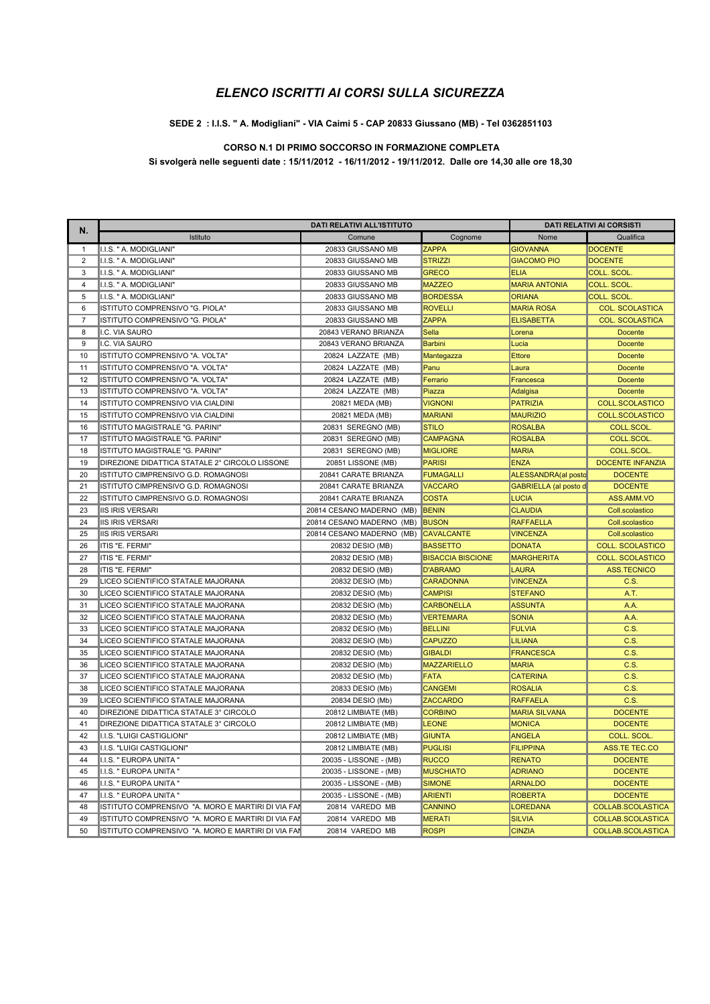#### SEDE 2 : I.I.S. " A. Modigliani" - VIA Caimi 5 - CAP 20833 Giussano (MB) - Tel 0362851103

### CORSO N.1 DI PRIMO SOCCORSO IN FORMAZIONE COMPLETA

Si svolgerà nelle seguenti date : 15/11/2012 - 16/11/2012 - 19/11/2012. Dalle ore 14,30 alle ore 18,30

| N.             |                                                    | <b>DATI RELATIVI ALL'ISTITUTO</b> |                          | <b>DATI RELATIVI AI CORSISTI</b> |                         |
|----------------|----------------------------------------------------|-----------------------------------|--------------------------|----------------------------------|-------------------------|
|                | Istituto                                           | Comune                            | Cognome                  | Nome                             | Qualifica               |
| 1              | I.I.S. " A. MODIGLIANI'                            | 20833 GIUSSANO MB                 | <b>ZAPPA</b>             | <b>GIOVANNA</b>                  | <b>DOCENTE</b>          |
| $\overline{2}$ | I.I.S. " A. MODIGLIANI"                            | 20833 GIUSSANO MB                 | <b>STRIZZI</b>           | <b>GIACOMO PIO</b>               | <b>DOCENTE</b>          |
| 3              | I.I.S. " A. MODIGLIANI"                            | 20833 GIUSSANO MB                 | <b>GRECO</b>             | <b>ELIA</b>                      | <b>COLL. SCOL</b>       |
| $\overline{4}$ | I.I.S. " A. MODIGLIANI"                            | 20833 GIUSSANO MB                 | <b>MAZZEO</b>            | <b>MARIA ANTONIA</b>             | <b>COLL. SCOL</b>       |
| 5              | I.I.S. " A. MODIGLIANI"                            | 20833 GIUSSANO MB                 | <b>BORDESSA</b>          | <b>ORIANA</b>                    | COLL. SCOL.             |
| 6              | ISTITUTO COMPRENSIVO "G. PIOLA"                    | 20833 GIUSSANO MB                 | <b>ROVELLI</b>           | <b>MARIA ROSA</b>                | <b>COL. SCOLASTICA</b>  |
| $\overline{7}$ | ISTITUTO COMPRENSIVO "G. PIOLA"                    | 20833 GIUSSANO MB                 | <b>ZAPPA</b>             | <b>ELISABETTA</b>                | <b>COL. SCOLASTICA</b>  |
| 8              | I.C. VIA SAURO                                     | 20843 VERANO BRIANZA              | Sella                    | Lorena                           | <b>Docente</b>          |
| 9              | I.C. VIA SAURO                                     | 20843 VERANO BRIANZA              | Barbini                  | Lucia                            | Docente                 |
| 10             | ISTITUTO COMPRENSIVO "A. VOLTA"                    | 20824 LAZZATE (MB)                | Mantegazza               | <b>Ettore</b>                    | <b>Docente</b>          |
| 11             | ISTITUTO COMPRENSIVO "A. VOLTA"                    | 20824 LAZZATE (MB)                | Panu                     | Laura                            | <b>Docente</b>          |
| 12             | ISTITUTO COMPRENSIVO "A. VOLTA"                    | 20824 LAZZATE (MB)                | Ferrario                 | Francesca                        | <b>Docente</b>          |
| 13             | ISTITUTO COMPRENSIVO "A. VOLTA"                    | 20824 LAZZATE (MB)                | Piazza                   | Adalgisa                         | <b>Docente</b>          |
| 14             | ISTITUTO COMPRENSIVO VIA CIALDINI                  | 20821 MEDA (MB)                   | <b>VIGNONI</b>           | <b>PATRIZIA</b>                  | <b>COLL.SCOLASTICO</b>  |
| 15             | ISTITUTO COMPRENSIVO VIA CIALDINI                  | 20821 MEDA (MB)                   | <b>MARIANI</b>           | <b>MAURIZIO</b>                  | <b>COLL.SCOLASTICO</b>  |
| 16             | ISTITUTO MAGISTRALE "G. PARINI"                    | 20831 SEREGNO (MB)                | <b>STILO</b>             | <b>ROSALBA</b>                   | <b>COLL.SCOL</b>        |
| 17             | ISTITUTO MAGISTRALE "G. PARINI"                    | 20831 SEREGNO (MB)                | <b>CAMPAGNA</b>          | <b>ROSALBA</b>                   | <b>COLL.SCOL</b>        |
| 18             | ISTITUTO MAGISTRALE "G. PARINI"                    | 20831 SEREGNO (MB)                | <b>MIGLIORE</b>          | <b>MARIA</b>                     | <b>COLL.SCOL</b>        |
| 19             | DIREZIONE DIDATTICA STATALE 2° CIRCOLO LISSONE     | 20851 LISSONE (MB)                | <b>PARISI</b>            | <b>ENZA</b>                      | <b>DOCENTE INFANZIA</b> |
| 20             | ISTITUTO CIMPRENSIVO G.D. ROMAGNOSI                | 20841 CARATE BRIANZA              | <b>FUMAGALLI</b>         | ALESSANDRA(al posto              | <b>DOCENTE</b>          |
| 21             | ISTITUTO CIMPRENSIVO G.D. ROMAGNOSI                | 20841 CARATE BRIANZA              | <b>VACCARO</b>           | GABRIELLA (al posto d            | <b>DOCENTE</b>          |
| 22             | ISTITUTO CIMPRENSIVO G.D. ROMAGNOSI                | 20841 CARATE BRIANZA              | <b>COSTA</b>             | <b>LUCIA</b>                     | ASS.AMM.VO              |
| 23             | IIS IRIS VERSARI                                   | 20814 CESANO MADERNO (MB)         | <b>BENIN</b>             | <b>CLAUDIA</b>                   | Coll.scolastico         |
| 24             | <b>IIS IRIS VERSARI</b>                            | 20814 CESANO MADERNO (MB)         | <b>BUSON</b>             | <b>RAFFAELLA</b>                 | Coll.scolastico         |
| 25             | <b>IIS IRIS VERSARI</b>                            | 20814 CESANO MADERNO (MB)         | <b>CAVALCANTE</b>        | <b>VINCENZA</b>                  | Coll.scolastico         |
| 26             | ITIS "E. FERMI"                                    | 20832 DESIO (MB)                  | <b>BASSETTO</b>          | <b>DONATA</b>                    | <b>COLL. SCOLASTICO</b> |
| 27             | ITIS "E. FERMI"                                    | 20832 DESIO (MB)                  | <b>BISACCIA BISCIONE</b> | <b>MARGHERITA</b>                | <b>COLL. SCOLASTICO</b> |
| 28             | ITIS "E. FERMI"                                    | 20832 DESIO (MB)                  | <b>D'ABRAMO</b>          | <b>LAURA</b>                     | <b>ASS.TECNICO</b>      |
| 29             | LICEO SCIENTIFICO STATALE MAJORANA                 | 20832 DESIO (Mb)                  | <b>CARADONNA</b>         | <b>VINCENZA</b>                  | C.S.                    |
| 30             | LICEO SCIENTIFICO STATALE MAJORANA                 | 20832 DESIO (Mb)                  | <b>CAMPISI</b>           | <b>STEFANO</b>                   | A.T.                    |
| 31             | LICEO SCIENTIFICO STATALE MAJORANA                 | 20832 DESIO (Mb)                  | <b>CARBONELLA</b>        | <b>ASSUNTA</b>                   | A.A.                    |
| 32             | LICEO SCIENTIFICO STATALE MAJORANA                 | 20832 DESIO (Mb)                  | <b>VERTEMARA</b>         | <b>SONIA</b>                     | A.A.                    |
| 33             | LICEO SCIENTIFICO STATALE MAJORANA                 | 20832 DESIO (Mb)                  | <b>BELLINI</b>           | <b>FULVIA</b>                    | C.S.                    |
| 34             | LICEO SCIENTIFICO STATALE MAJORANA                 | 20832 DESIO (Mb)                  | <b>CAPUZZO</b>           | <b>LILIANA</b>                   | C.S.                    |
| 35             | LICEO SCIENTIFICO STATALE MAJORANA                 | 20832 DESIO (Mb)                  | <b>GIBALDI</b>           | <b>FRANCESCA</b>                 | C.S.                    |
| 36             | LICEO SCIENTIFICO STATALE MAJORANA                 | 20832 DESIO (Mb)                  | <b>MAZZARIELLO</b>       | <b>MARIA</b>                     | C.S.                    |
| 37             | LICEO SCIENTIFICO STATALE MAJORANA                 | 20832 DESIO (Mb)                  | <b>FATA</b>              | <b>CATERINA</b>                  | C.S.                    |
| 38             | LICEO SCIENTIFICO STATALE MAJORANA                 | 20833 DESIO (Mb)                  | <b>CANGEMI</b>           | <b>ROSALIA</b>                   | C.S.                    |
| 39             | LICEO SCIENTIFICO STATALE MAJORANA                 | 20834 DESIO (Mb)                  | <b>ZACCARDO</b>          | <b>RAFFAELA</b>                  | C.S.                    |
| 40             | DIREZIONE DIDATTICA STATALE 3° CIRCOLO             | 20812 LIMBIATE (MB)               | <b>CORBINO</b>           | <b>MARIA SILVANA</b>             | <b>DOCENTE</b>          |
| 41             | DIREZIONE DIDATTICA STATALE 3° CIRCOLO             | 20812 LIMBIATE (MB)               | <b>LEONE</b>             | <b>MONICA</b>                    | <b>DOCENTE</b>          |
| 42             | I.I.S. "LUIGI CASTIGLIONI"                         | 20812 LIMBIATE (MB)               | <b>GIUNTA</b>            | <b>ANGELA</b>                    | <b>COLL. SCOL</b>       |
| 43             | I.I.S. "LUIGI CASTIGLIONI"                         | 20812 LIMBIATE (MB)               | <b>PUGLISI</b>           | <b>FILIPPINA</b>                 | <b>ASS.TE TEC.CO</b>    |
| 44             | I.I.S. " EUROPA UNITA "                            | 20035 - LISSONE - (MB)            | <b>RUCCO</b>             | <b>RENATO</b>                    | <b>DOCENTE</b>          |
| 45             | I.I.S. " EUROPA UNITA "                            | 20035 - LISSONE - (MB)            | <b>MUSCHIATO</b>         | <b>ADRIANO</b>                   | <b>DOCENTE</b>          |
| 46             | I.I.S. " EUROPA UNITA "                            | 20035 - LISSONE - (MB)            | <b>SIMONE</b>            | <b>ARNALDO</b>                   | <b>DOCENTE</b>          |
| 47             | II.I.S. " EUROPA UNITA "                           | 20035 - LISSONE - (MB)            | <b>ARIENTI</b>           | <b>ROBERTA</b>                   | <b>DOCENTE</b>          |
| 48             | ISTITUTO COMPRENSIVO "A. MORO E MARTIRI DI VIA FAI | 20814 VAREDO MB                   | <b>CANNINO</b>           | <b>LOREDANA</b>                  | COLLAB.SCOLASTICA       |
| 49             | ISTITUTO COMPRENSIVO "A. MORO E MARTIRI DI VIA FAI | 20814 VAREDO MB                   | <b>MERATI</b>            | <b>SILVIA</b>                    | COLLAB.SCOLASTICA       |
| 50             | ISTITUTO COMPRENSIVO "A. MORO E MARTIRI DI VIA FAI | 20814 VAREDO MB                   | <b>ROSPI</b>             | <b>CINZIA</b>                    | COLLAB.SCOLASTICA       |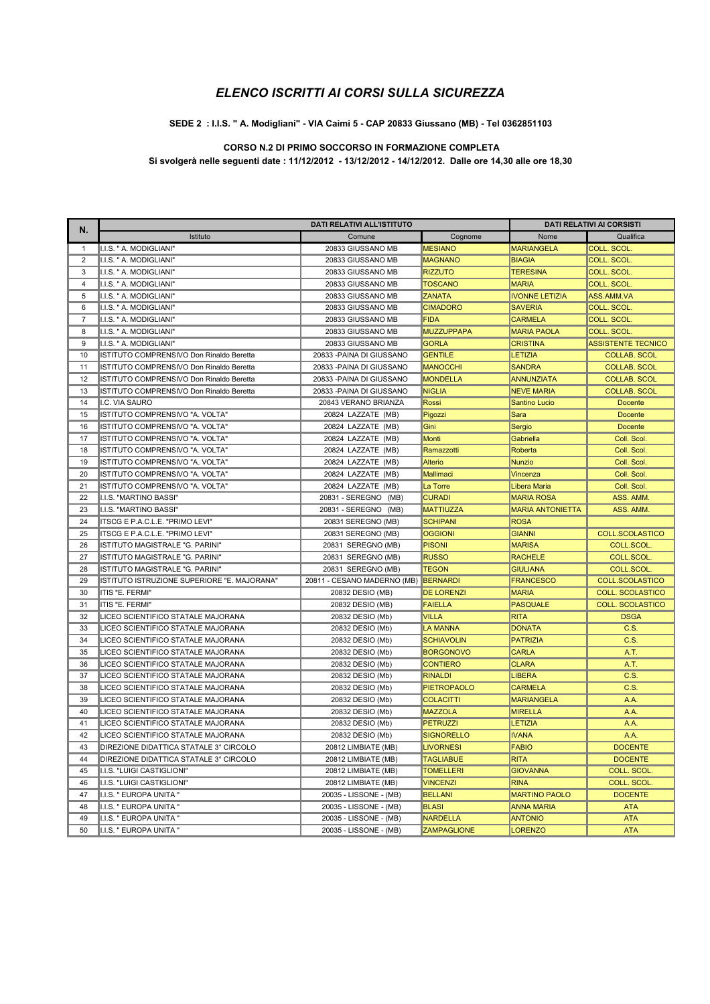#### SEDE 2 : I.I.S. " A. Modigliani" - VIA Caimi 5 - CAP 20833 Giussano (MB) - Tel 0362851103

### **CORSO N.2 DI PRIMO SOCCORSO IN FORMAZIONE COMPLETA**

Si svolgerà nelle seguenti date : 11/12/2012 - 13/12/2012 - 14/12/2012. Dalle ore 14,30 alle ore 18,30

| N.             | DATI RELATIVI ALL'ISTITUTO                  |                                      |                    | <b>DATI RELATIVI AI CORSISTI</b> |                           |
|----------------|---------------------------------------------|--------------------------------------|--------------------|----------------------------------|---------------------------|
|                | Istituto                                    | Comune                               | Cognome            | Nome                             | Qualifica                 |
| $\mathbf{1}$   | I.I.S. " A. MODIGLIANI"                     | 20833 GIUSSANO MB                    | <b>MESIANO</b>     | <b>MARIANGELA</b>                | <b>COLL. SCOL</b>         |
| $\overline{2}$ | I.I.S. " A. MODIGLIANI"                     | 20833 GIUSSANO MB                    | <b>MAGNANO</b>     | <b>BIAGIA</b>                    | COLL. SCOL.               |
| 3              | II.I.S. " A. MODIGLIANI"                    | 20833 GIUSSANO MB                    | <b>RIZZUTO</b>     | <b>TERESINA</b>                  | <b>COLL. SCOL.</b>        |
| 4              | I.I.S. " A. MODIGLIANI"                     | 20833 GIUSSANO MB                    | <b>TOSCANO</b>     | <b>MARIA</b>                     | COLL. SCOL.               |
| 5              | IIS. " A. MODIGLIANI"                       | 20833 GIUSSANO MB                    | <b>ZANATA</b>      | <b>IVONNE LETIZIA</b>            | ASS.AMM.VA                |
| 6              | I.I.S. " A. MODIGLIANI"                     | 20833 GIUSSANO MB                    | <b>CIMADORO</b>    | <b>SAVERIA</b>                   | COLL. SCOL.               |
| $\overline{7}$ | I.I.S. " A. MODIGLIANI"                     | 20833 GIUSSANO MB                    | <b>FIDA</b>        | <b>CARMELA</b>                   | <b>COLL. SCOL</b>         |
| 8              | I.I.S. " A. MODIGLIANI"                     | 20833 GIUSSANO MB                    | <b>MUZZUPPAPA</b>  | <b>MARIA PAOLA</b>               | <b>COLL. SCOL</b>         |
| 9              | IIS. " A. MODIGLIANI"                       | 20833 GIUSSANO MB                    | <b>GORLA</b>       | <b>CRISTINA</b>                  | <b>ASSISTENTE TECNICO</b> |
| 10             | ISTITUTO COMPRENSIVO Don Rinaldo Beretta    | 20833 - PAINA DI GIUSSANO            | <b>GENTILE</b>     | <b>LETIZIA</b>                   | <b>COLLAB. SCOL</b>       |
| 11             | ISTITUTO COMPRENSIVO Don Rinaldo Beretta    | 20833 - PAINA DI GIUSSANO            | <b>MANOCCHI</b>    | <b>SANDRA</b>                    | <b>COLLAB. SCOL</b>       |
| 12             | ISTITUTO COMPRENSIVO Don Rinaldo Beretta    | 20833 - PAINA DI GIUSSANO            | <b>MONDELLA</b>    | <b>ANNUNZIATA</b>                | <b>COLLAB. SCOL</b>       |
| 13             | ISTITUTO COMPRENSIVO Don Rinaldo Beretta    | 20833 - PAINA DI GIUSSANO            | <b>NIGLIA</b>      | <b>NEVE MARIA</b>                | <b>COLLAB. SCOL</b>       |
| 14             | I.C. VIA SAURO                              | 20843 VERANO BRIANZA                 | <b>Rossi</b>       | <b>Santino Lucio</b>             | <b>Docente</b>            |
| 15             | ISTITUTO COMPRENSIVO "A. VOLTA"             | 20824 LAZZATE (MB)                   | Pigozzi            | Sara                             | <b>Docente</b>            |
| 16             | ISTITUTO COMPRENSIVO "A. VOLTA"             | 20824 LAZZATE (MB)                   | Gini               | Sergio                           | <b>Docente</b>            |
| 17             | IISTITUTO COMPRENSIVO "A. VOLTA"            | 20824 LAZZATE (MB)                   | <b>Monti</b>       | Gabriella                        | Coll. Scol.               |
| 18             | ISTITUTO COMPRENSIVO "A. VOLTA"             | 20824 LAZZATE (MB)                   | Ramazzotti         | Roberta                          | Coll. Scol.               |
| 19             | ISTITUTO COMPRENSIVO "A. VOLTA"             | 20824 LAZZATE (MB)                   | <b>Alterio</b>     | <b>Nunzio</b>                    | Coll. Scol.               |
| 20             | ISTITUTO COMPRENSIVO "A. VOLTA"             | 20824 LAZZATE (MB)                   | Mallimaci          | Vincenza                         | Coll. Scol.               |
| 21             | ISTITUTO COMPRENSIVO "A. VOLTA"             | 20824 LAZZATE (MB)                   | La Torre           | <b>Libera Maria</b>              | Coll. Scol.               |
| 22             | I.I.S. "MARTINO BASSI"                      | 20831 - SEREGNO (MB)                 | <b>CURADI</b>      | <b>MARIA ROSA</b>                | ASS. AMM.                 |
| 23             | I.I.S. "MARTINO BASSI"                      | 20831 - SEREGNO (MB)                 | <b>MATTIUZZA</b>   | <b>MARIA ANTONIETTA</b>          | ASS. AMM.                 |
| 24             | ITSCG E P.A.C.L.E. "PRIMO LEVI"             | 20831 SEREGNO (MB)                   | <b>SCHIPANI</b>    | <b>ROSA</b>                      |                           |
| 25             | ITSCG E P.A.C.L.E. "PRIMO LEVI"             | 20831 SEREGNO (MB)                   | <b>OGGIONI</b>     | <b>GIANNI</b>                    | <b>COLL.SCOLASTICO</b>    |
| 26             | ISTITUTO MAGISTRALE "G. PARINI"             | 20831 SEREGNO (MB)                   | <b>PISONI</b>      | <b>MARISA</b>                    | COLL.SCOL.                |
| 27             | ISTITUTO MAGISTRALE "G. PARINI"             | 20831 SEREGNO (MB)                   | <b>RUSSO</b>       | <b>RACHELE</b>                   | <b>COLL.SCOL</b>          |
| 28             | ISTITUTO MAGISTRALE "G. PARINI"             | 20831 SEREGNO (MB)                   | <b>TEGON</b>       | <b>GIULIANA</b>                  | COLL.SCOL.                |
| 29             | ISTITUTO ISTRUZIONE SUPERIORE "E. MAJORANA" | 20811 - CESANO MADERNO (MB) BERNARDI |                    | <b>FRANCESCO</b>                 | <b>COLL.SCOLASTICO</b>    |
| 30             | ITIS "E. FERMI"                             | 20832 DESIO (MB)                     | <b>DE LORENZI</b>  | <b>MARIA</b>                     | <b>COLL. SCOLASTICO</b>   |
| 31             | IITIS "E. FERMI"                            | 20832 DESIO (MB)                     | <b>FAIELLA</b>     | <b>PASQUALE</b>                  | <b>COLL. SCOLASTICO</b>   |
| 32             | LICEO SCIENTIFICO STATALE MAJORANA          | 20832 DESIO (Mb)                     | <b>VILLA</b>       | <b>RITA</b>                      | <b>DSGA</b>               |
| 33             | LICEO SCIENTIFICO STATALE MAJORANA          | 20832 DESIO (Mb)                     | <b>LA MANNA</b>    | <b>DONATA</b>                    | C.S.                      |
| 34             | LICEO SCIENTIFICO STATALE MAJORANA          | 20832 DESIO (Mb)                     | <b>SCHIAVOLIN</b>  | <b>PATRIZIA</b>                  | C.S.                      |
| 35             | LICEO SCIENTIFICO STATALE MAJORANA          | 20832 DESIO (Mb)                     | <b>BORGONOVO</b>   | <b>CARLA</b>                     | A.T.                      |
| 36             | LICEO SCIENTIFICO STATALE MAJORANA          | 20832 DESIO (Mb)                     | <b>CONTIERO</b>    | <b>CLARA</b>                     | A.T.                      |
| 37             | LICEO SCIENTIFICO STATALE MAJORANA          | 20832 DESIO (Mb)                     | <b>RINALDI</b>     | <b>LIBERA</b>                    | C.S.                      |
| 38             | LICEO SCIENTIFICO STATALE MAJORANA          | 20832 DESIO (Mb)                     | <b>PIETROPAOLO</b> | <b>CARMELA</b>                   | C.S.                      |
| 39             | LICEO SCIENTIFICO STATALE MAJORANA          | 20832 DESIO (Mb)                     | <b>COLACITTI</b>   | <b>MARIANGELA</b>                | A.A.                      |
| 40             | LICEO SCIENTIFICO STATALE MAJORANA          | 20832 DESIO (Mb)                     | <b>MAZZOLA</b>     | <b>MIRELLA</b>                   | A.A.                      |
| 41             | LICEO SCIENTIFICO STATALE MAJORANA          | 20832 DESIO (Mb)                     | <b>PETRUZZI</b>    | <b>LETIZIA</b>                   | A.A.                      |
| 42             | LICEO SCIENTIFICO STATALE MAJORANA          | 20832 DESIO (Mb)                     | <b>SIGNORELLO</b>  | <b>IVANA</b>                     | A.A.                      |
| 43             | DIREZIONE DIDATTICA STATALE 3° CIRCOLO      | 20812 LIMBIATE (MB)                  | <b>LIVORNESI</b>   | <b>FABIO</b>                     | <b>DOCENTE</b>            |
| 44             | DIREZIONE DIDATTICA STATALE 3° CIRCOLO      | 20812 LIMBIATE (MB)                  | <b>TAGLIABUE</b>   | <b>RITA</b>                      | <b>DOCENTE</b>            |
| 45             | II.I.S. "LUIGI CASTIGLIONI"                 | 20812 LIMBIATE (MB)                  | <b>TOMELLERI</b>   | <b>GIOVANNA</b>                  | COLL. SCOL.               |
| 46             | I.I.S. "LUIGI CASTIGLIONI"                  | 20812 LIMBIATE (MB)                  | <b>VINCENZI</b>    | <b>RINA</b>                      | COLL. SCOL.               |
| 47             | I.I.S. " EUROPA UNITA "                     | 20035 - LISSONE - (MB)               | <b>BELLANI</b>     | <b>MARTINO PAOLO</b>             | <b>DOCENTE</b>            |
| 48             | I.I.S. " EUROPA UNITA "                     | 20035 - LISSONE - (MB)               | <b>BLASI</b>       | <b>ANNA MARIA</b>                | <b>ATA</b>                |
| 49             | I.I.S. " EUROPA UNITA "                     | 20035 - LISSONE - (MB)               | <b>NARDELLA</b>    | <b>ANTONIO</b>                   | <b>ATA</b>                |
| 50             | I.I.S. " EUROPA UNITA "                     | 20035 - LISSONE - (MB)               | <b>ZAMPAGLIONE</b> | <b>LORENZO</b>                   | <b>ATA</b>                |